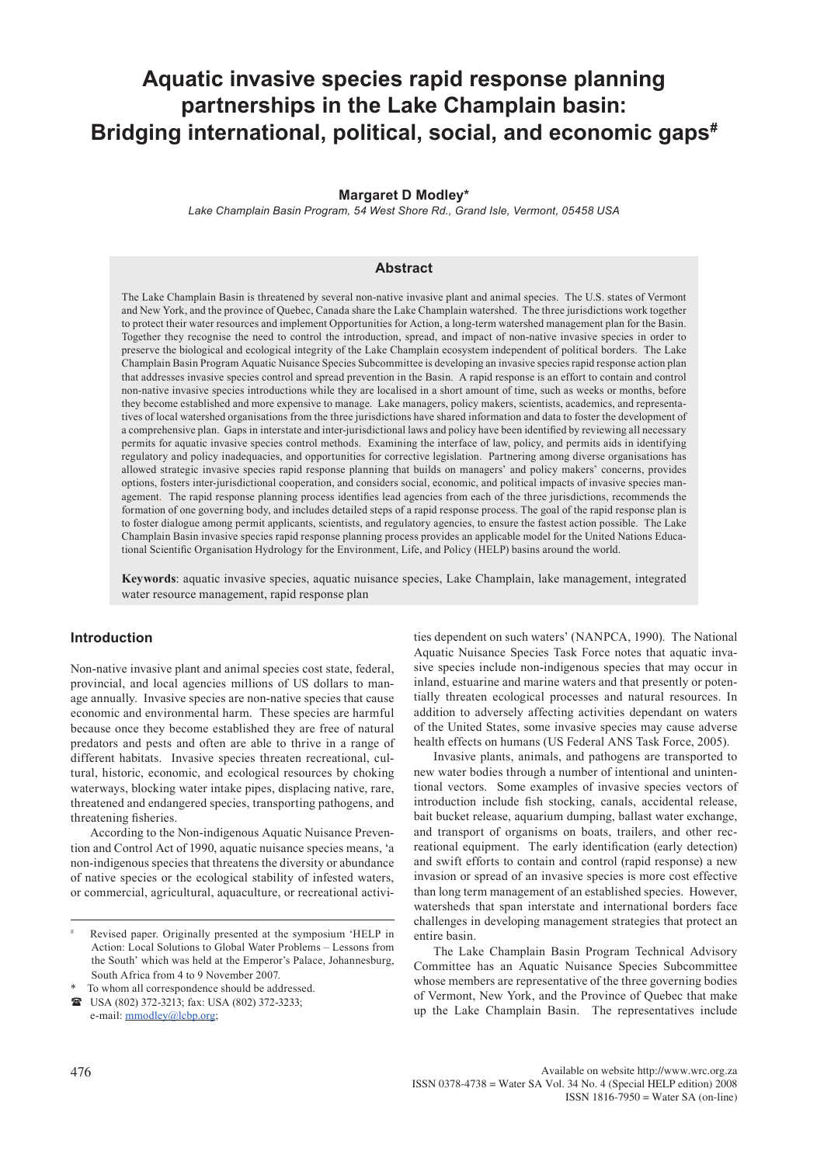# **Aquatic invasive species rapid response planning partnerships in the Lake Champlain basin:**  Bridging international, political, social, and economic gaps<sup>#</sup>

# **Margaret D Modley\***

*Lake Champlain Basin Program, 54 West Shore Rd., Grand Isle, Vermont, 05458 USA* 

# **Abstract**

The Lake Champlain Basin is threatened by several non-native invasive plant and animal species. The U.S. states of Vermont and New York, and the province of Quebec, Canada share the Lake Champlain watershed. The three jurisdictions work together to protect their water resources and implement Opportunities for Action, a long-term watershed management plan for the Basin. Together they recognise the need to control the introduction, spread, and impact of non-native invasive species in order to preserve the biological and ecological integrity of the Lake Champlain ecosystem independent of political borders. The Lake Champlain Basin Program Aquatic Nuisance Species Subcommittee is developing an invasive species rapid response action plan that addresses invasive species control and spread prevention in the Basin. A rapid response is an effort to contain and control non-native invasive species introductions while they are localised in a short amount of time, such as weeks or months, before they become established and more expensive to manage. Lake managers, policy makers, scientists, academics, and representatives of local watershed organisations from the three jurisdictions have shared information and data to foster the development of a comprehensive plan. Gaps in interstate and inter-jurisdictional laws and policy have been identified by reviewing all necessary permits for aquatic invasive species control methods. Examining the interface of law, policy, and permits aids in identifying regulatory and policy inadequacies, and opportunities for corrective legislation. Partnering among diverse organisations has allowed strategic invasive species rapid response planning that builds on managers' and policy makers' concerns, provides options, fosters inter-jurisdictional cooperation, and considers social, economic, and political impacts of invasive species management. The rapid response planning process identifies lead agencies from each of the three jurisdictions, recommends the formation of one governing body, and includes detailed steps of a rapid response process. The goal of the rapid response plan is to foster dialogue among permit applicants, scientists, and regulatory agencies, to ensure the fastest action possible. The Lake Champlain Basin invasive species rapid response planning process provides an applicable model for the United Nations Educational Scientific Organisation Hydrology for the Environment, Life, and Policy (HELP) basins around the world.

**Keywords**: aquatic invasive species, aquatic nuisance species, Lake Champlain, lake management, integrated water resource management, rapid response plan

## **Introduction**

Non-native invasive plant and animal species cost state, federal, provincial, and local agencies millions of US dollars to manage annually. Invasive species are non-native species that cause economic and environmental harm. These species are harmful because once they become established they are free of natural predators and pests and often are able to thrive in a range of different habitats. Invasive species threaten recreational, cultural, historic, economic, and ecological resources by choking waterways, blocking water intake pipes, displacing native, rare, threatened and endangered species, transporting pathogens, and threatening fisheries.

According to the Non-indigenous Aquatic Nuisance Prevention and Control Act of 1990, aquatic nuisance species means, 'a non-indigenous species that threatens the diversity or abundance of native species or the ecological stability of infested waters, or commercial, agricultural, aquaculture, or recreational activi-

ties dependent on such waters' (NANPCA, 1990). The National Aquatic Nuisance Species Task Force notes that aquatic invasive species include non-indigenous species that may occur in inland, estuarine and marine waters and that presently or potentially threaten ecological processes and natural resources. In addition to adversely affecting activities dependant on waters of the United States, some invasive species may cause adverse health effects on humans (US Federal ANS Task Force, 2005).

Invasive plants, animals, and pathogens are transported to new water bodies through a number of intentional and unintentional vectors. Some examples of invasive species vectors of introduction include fish stocking, canals, accidental release, bait bucket release, aquarium dumping, ballast water exchange, and transport of organisms on boats, trailers, and other recreational equipment. The early identification (early detection) and swift efforts to contain and control (rapid response) a new invasion or spread of an invasive species is more cost effective than long term management of an established species. However, watersheds that span interstate and international borders face challenges in developing management strategies that protect an entire basin.

The Lake Champlain Basin Program Technical Advisory Committee has an Aquatic Nuisance Species Subcommittee whose members are representative of the three governing bodies of Vermont, New York, and the Province of Quebec that make up the Lake Champlain Basin. The representatives include

Revised paper. Originally presented at the symposium 'HELP in Action: Local Solutions to Global Water Problems – Lessons from the South' which was held at the Emperor's Palace, Johannesburg, South Africa from 4 to 9 November 2007.

To whom all correspondence should be addressed.

USA (802) 372-3213; fax: USA (802) 372-3233; e-mail: mmodley@lcbp.org;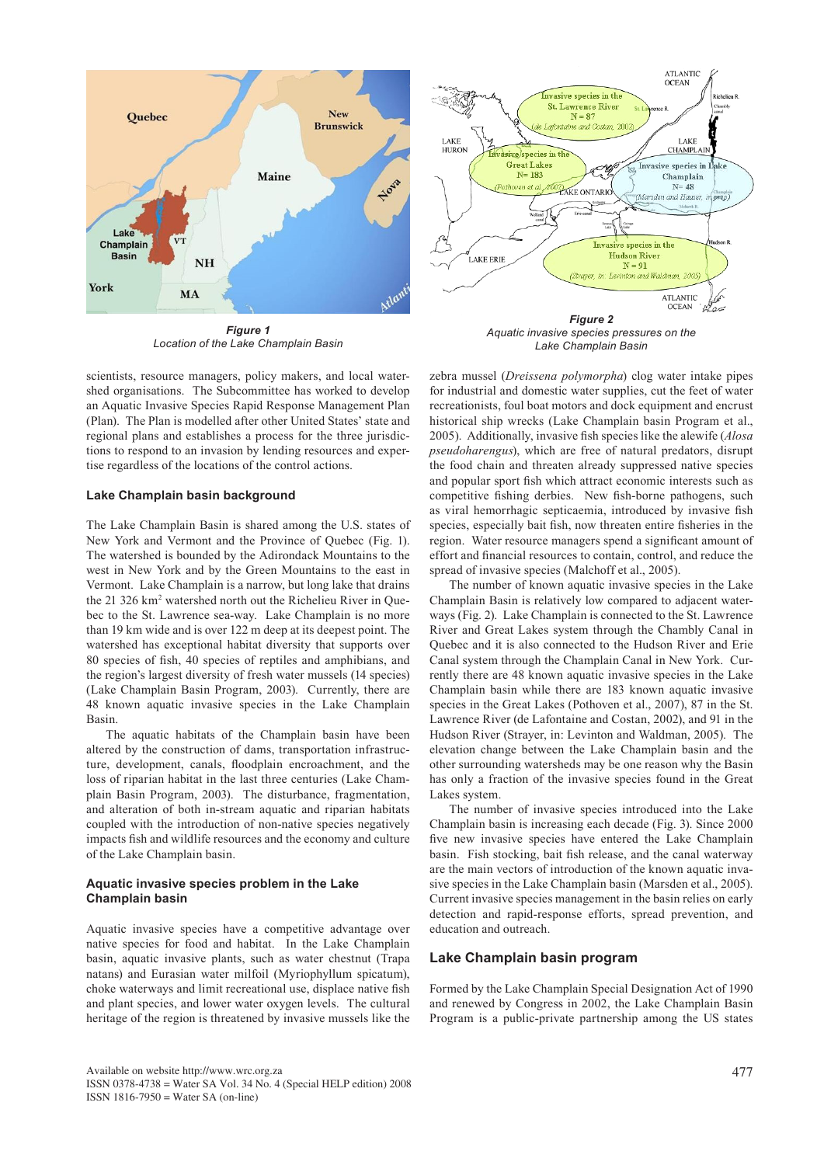

*Figure 1 Location of the Lake Champlain Basin*



scientists, resource managers, policy makers, and local watershed organisations. The Subcommittee has worked to develop an Aquatic Invasive Species Rapid Response Management Plan (Plan). The Plan is modelled after other United States' state and regional plans and establishes a process for the three jurisdictions to respond to an invasion by lending resources and expertise regardless of the locations of the control actions.

## **Lake Champlain basin background**

The Lake Champlain Basin is shared among the U.S. states of New York and Vermont and the Province of Quebec (Fig. 1). The watershed is bounded by the Adirondack Mountains to the west in New York and by the Green Mountains to the east in Vermont. Lake Champlain is a narrow, but long lake that drains the 21 326 km2 watershed north out the Richelieu River in Quebec to the St. Lawrence sea-way. Lake Champlain is no more than 19 km wide and is over 122 m deep at its deepest point. The watershed has exceptional habitat diversity that supports over 80 species of fish, 40 species of reptiles and amphibians, and the region's largest diversity of fresh water mussels (14 species) (Lake Champlain Basin Program, 2003). Currently, there are 48 known aquatic invasive species in the Lake Champlain Basin.

The aquatic habitats of the Champlain basin have been altered by the construction of dams, transportation infrastructure, development, canals, floodplain encroachment, and the loss of riparian habitat in the last three centuries (Lake Champlain Basin Program, 2003). The disturbance, fragmentation, and alteration of both in-stream aquatic and riparian habitats coupled with the introduction of non-native species negatively impacts fish and wildlife resources and the economy and culture of the Lake Champlain basin.

# **Aquatic invasive species problem in the Lake Champlain basin**

Aquatic invasive species have a competitive advantage over native species for food and habitat. In the Lake Champlain basin, aquatic invasive plants, such as water chestnut (Trapa natans) and Eurasian water milfoil (Myriophyllum spicatum), choke waterways and limit recreational use, displace native fish and plant species, and lower water oxygen levels. The cultural heritage of the region is threatened by invasive mussels like the zebra mussel (*Dreissena polymorpha*) clog water intake pipes for industrial and domestic water supplies, cut the feet of water recreationists, foul boat motors and dock equipment and encrust historical ship wrecks (Lake Champlain basin Program et al., 2005). Additionally, invasive fish species like the alewife (*Alosa pseudoharengus*), which are free of natural predators, disrupt the food chain and threaten already suppressed native species and popular sport fish which attract economic interests such as competitive fishing derbies. New fish-borne pathogens, such as viral hemorrhagic septicaemia, introduced by invasive fish species, especially bait fish, now threaten entire fisheries in the region. Water resource managers spend a significant amount of effort and financial resources to contain, control, and reduce the spread of invasive species (Malchoff et al., 2005).

The number of known aquatic invasive species in the Lake Champlain Basin is relatively low compared to adjacent waterways (Fig. 2). Lake Champlain is connected to the St. Lawrence River and Great Lakes system through the Chambly Canal in Quebec and it is also connected to the Hudson River and Erie Canal system through the Champlain Canal in New York. Currently there are 48 known aquatic invasive species in the Lake Champlain basin while there are 183 known aquatic invasive species in the Great Lakes (Pothoven et al., 2007), 87 in the St. Lawrence River (de Lafontaine and Costan, 2002), and 91 in the Hudson River (Strayer, in: Levinton and Waldman, 2005). The elevation change between the Lake Champlain basin and the other surrounding watersheds may be one reason why the Basin has only a fraction of the invasive species found in the Great Lakes system.

The number of invasive species introduced into the Lake Champlain basin is increasing each decade (Fig. 3). Since 2000 five new invasive species have entered the Lake Champlain basin. Fish stocking, bait fish release, and the canal waterway are the main vectors of introduction of the known aquatic invasive species in the Lake Champlain basin (Marsden et al., 2005). Current invasive species management in the basin relies on early detection and rapid-response efforts, spread prevention, and education and outreach.

# **Lake Champlain basin program**

Formed by the Lake Champlain Special Designation Act of 1990 and renewed by Congress in 2002, the Lake Champlain Basin Program is a public-private partnership among the US states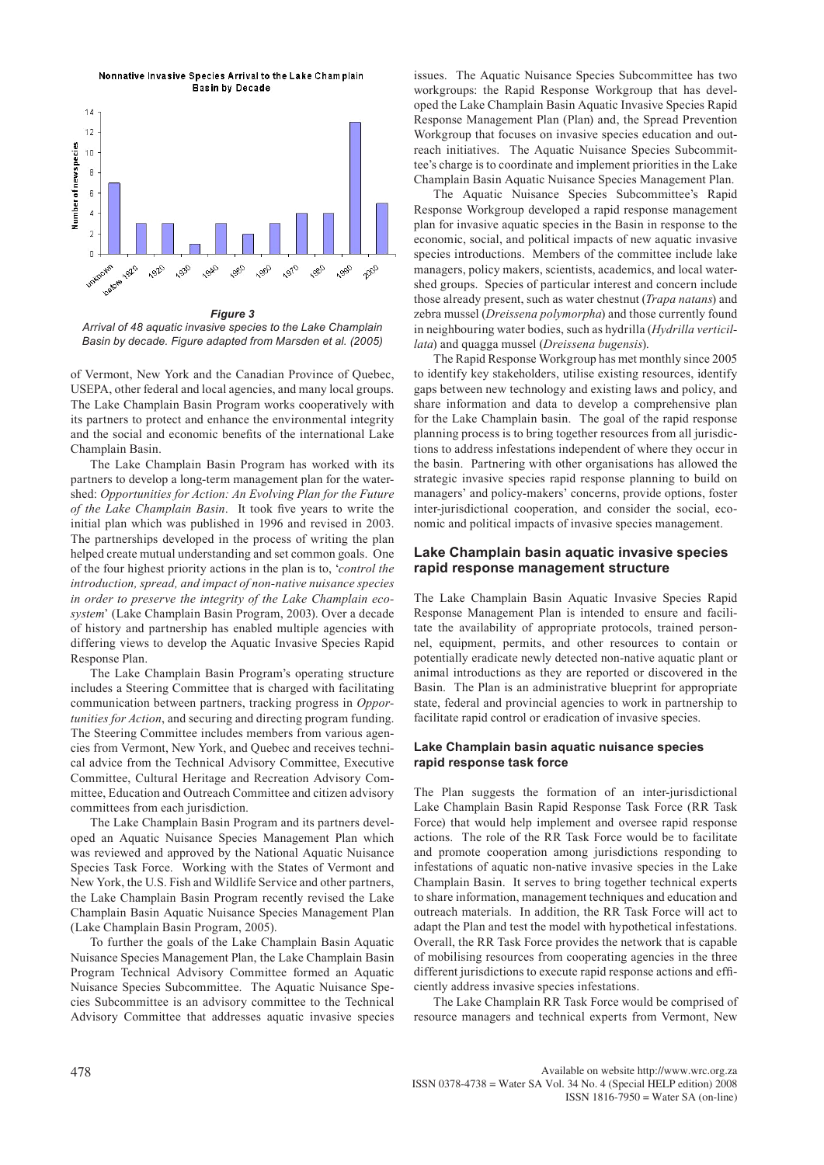Nonnative Invasive Species Arrival to the Lake Champlain **Basin by Decade** 



*Figure 3 Arrival of 48 aquatic invasive species to the Lake Champlain Basin by decade. Figure adapted from Marsden et al. (2005)*

of Vermont, New York and the Canadian Province of Quebec, USEPA, other federal and local agencies, and many local groups. The Lake Champlain Basin Program works cooperatively with its partners to protect and enhance the environmental integrity and the social and economic benefits of the international Lake Champlain Basin.

The Lake Champlain Basin Program has worked with its partners to develop a long-term management plan for the watershed: *Opportunities for Action: An Evolving Plan for the Future of the Lake Champlain Basin*. It took five years to write the initial plan which was published in 1996 and revised in 2003. The partnerships developed in the process of writing the plan helped create mutual understanding and set common goals. One of the four highest priority actions in the plan is to, '*control the introduction, spread, and impact of non-native nuisance species in order to preserve the integrity of the Lake Champlain ecosystem*' (Lake Champlain Basin Program, 2003). Over a decade of history and partnership has enabled multiple agencies with differing views to develop the Aquatic Invasive Species Rapid Response Plan.

The Lake Champlain Basin Program's operating structure includes a Steering Committee that is charged with facilitating communication between partners, tracking progress in *Opportunities for Action*, and securing and directing program funding. The Steering Committee includes members from various agencies from Vermont, New York, and Quebec and receives technical advice from the Technical Advisory Committee, Executive Committee, Cultural Heritage and Recreation Advisory Committee, Education and Outreach Committee and citizen advisory committees from each jurisdiction.

The Lake Champlain Basin Program and its partners developed an Aquatic Nuisance Species Management Plan which was reviewed and approved by the National Aquatic Nuisance Species Task Force. Working with the States of Vermont and New York, the U.S. Fish and Wildlife Service and other partners, the Lake Champlain Basin Program recently revised the Lake Champlain Basin Aquatic Nuisance Species Management Plan (Lake Champlain Basin Program, 2005).

To further the goals of the Lake Champlain Basin Aquatic Nuisance Species Management Plan, the Lake Champlain Basin Program Technical Advisory Committee formed an Aquatic Nuisance Species Subcommittee. The Aquatic Nuisance Species Subcommittee is an advisory committee to the Technical Advisory Committee that addresses aquatic invasive species

issues. The Aquatic Nuisance Species Subcommittee has two workgroups: the Rapid Response Workgroup that has developed the Lake Champlain Basin Aquatic Invasive Species Rapid Response Management Plan (Plan) and, the Spread Prevention Workgroup that focuses on invasive species education and outreach initiatives. The Aquatic Nuisance Species Subcommittee's charge is to coordinate and implement priorities in the Lake Champlain Basin Aquatic Nuisance Species Management Plan.

The Aquatic Nuisance Species Subcommittee's Rapid Response Workgroup developed a rapid response management plan for invasive aquatic species in the Basin in response to the economic, social, and political impacts of new aquatic invasive species introductions. Members of the committee include lake managers, policy makers, scientists, academics, and local watershed groups. Species of particular interest and concern include those already present, such as water chestnut (*Trapa natans*) and zebra mussel (*Dreissena polymorpha*) and those currently found in neighbouring water bodies, such as hydrilla (*Hydrilla verticillata*) and quagga mussel (*Dreissena bugensis*).

The Rapid Response Workgroup has met monthly since 2005 to identify key stakeholders, utilise existing resources, identify gaps between new technology and existing laws and policy, and share information and data to develop a comprehensive plan for the Lake Champlain basin. The goal of the rapid response planning process is to bring together resources from all jurisdictions to address infestations independent of where they occur in the basin. Partnering with other organisations has allowed the strategic invasive species rapid response planning to build on managers' and policy-makers' concerns, provide options, foster inter-jurisdictional cooperation, and consider the social, economic and political impacts of invasive species management.

#### **Lake Champlain basin aquatic invasive species rapid response management structure**

The Lake Champlain Basin Aquatic Invasive Species Rapid Response Management Plan is intended to ensure and facilitate the availability of appropriate protocols, trained personnel, equipment, permits, and other resources to contain or potentially eradicate newly detected non-native aquatic plant or animal introductions as they are reported or discovered in the Basin. The Plan is an administrative blueprint for appropriate state, federal and provincial agencies to work in partnership to facilitate rapid control or eradication of invasive species.

#### **Lake Champlain basin aquatic nuisance species rapid response task force**

The Plan suggests the formation of an inter-jurisdictional Lake Champlain Basin Rapid Response Task Force (RR Task Force) that would help implement and oversee rapid response actions. The role of the RR Task Force would be to facilitate and promote cooperation among jurisdictions responding to infestations of aquatic non-native invasive species in the Lake Champlain Basin. It serves to bring together technical experts to share information, management techniques and education and outreach materials. In addition, the RR Task Force will act to adapt the Plan and test the model with hypothetical infestations. Overall, the RR Task Force provides the network that is capable of mobilising resources from cooperating agencies in the three different jurisdictions to execute rapid response actions and efficiently address invasive species infestations.

The Lake Champlain RR Task Force would be comprised of resource managers and technical experts from Vermont, New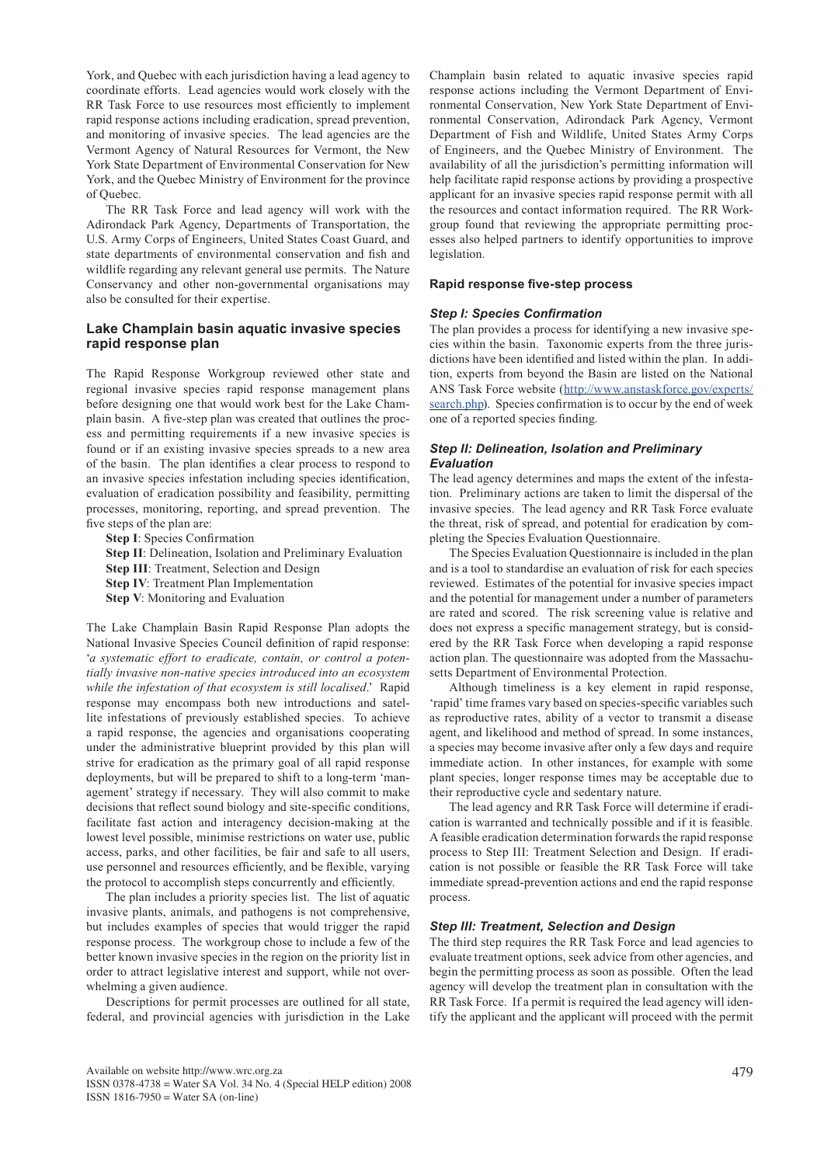York, and Quebec with each jurisdiction having a lead agency to coordinate efforts. Lead agencies would work closely with the RR Task Force to use resources most efficiently to implement rapid response actions including eradication, spread prevention, and monitoring of invasive species. The lead agencies are the Vermont Agency of Natural Resources for Vermont, the New York State Department of Environmental Conservation for New York, and the Quebec Ministry of Environment for the province of Quebec.

The RR Task Force and lead agency will work with the Adirondack Park Agency, Departments of Transportation, the U.S. Army Corps of Engineers, United States Coast Guard, and state departments of environmental conservation and fish and wildlife regarding any relevant general use permits. The Nature Conservancy and other non-governmental organisations may also be consulted for their expertise.

# **Lake Champlain basin aquatic invasive species rapid response plan**

The Rapid Response Workgroup reviewed other state and regional invasive species rapid response management plans before designing one that would work best for the Lake Champlain basin. A five-step plan was created that outlines the process and permitting requirements if a new invasive species is found or if an existing invasive species spreads to a new area of the basin. The plan identifies a clear process to respond to an invasive species infestation including species identification, evaluation of eradication possibility and feasibility, permitting processes, monitoring, reporting, and spread prevention. The five steps of the plan are:

**Step I**: Species Confirmation **Step II**: Delineation, Isolation and Preliminary Evaluation **Step III**: Treatment, Selection and Design **Step IV**: Treatment Plan Implementation **Step V**: Monitoring and Evaluation

The Lake Champlain Basin Rapid Response Plan adopts the National Invasive Species Council definition of rapid response: '*a systematic effort to eradicate, contain, or control a potentially invasive non-native species introduced into an ecosystem while the infestation of that ecosystem is still localised*.' Rapid response may encompass both new introductions and satellite infestations of previously established species. To achieve a rapid response, the agencies and organisations cooperating under the administrative blueprint provided by this plan will strive for eradication as the primary goal of all rapid response deployments, but will be prepared to shift to a long-term 'management' strategy if necessary. They will also commit to make decisions that reflect sound biology and site-specific conditions, facilitate fast action and interagency decision-making at the lowest level possible, minimise restrictions on water use, public access, parks, and other facilities, be fair and safe to all users, use personnel and resources efficiently, and be flexible, varying the protocol to accomplish steps concurrently and efficiently.

The plan includes a priority species list. The list of aquatic invasive plants, animals, and pathogens is not comprehensive, but includes examples of species that would trigger the rapid response process. The workgroup chose to include a few of the better known invasive species in the region on the priority list in order to attract legislative interest and support, while not overwhelming a given audience.

Descriptions for permit processes are outlined for all state, federal, and provincial agencies with jurisdiction in the Lake

## **Rapid response five-step process**

## *Step I: Species Confirmation*

The plan provides a process for identifying a new invasive species within the basin. Taxonomic experts from the three jurisdictions have been identified and listed within the plan. In addition, experts from beyond the Basin are listed on the National ANS Task Force website (http://www.anstaskforce.gov/experts/ search.php). Species confirmation is to occur by the end of week one of a reported species finding.

## *Step II: Delineation, Isolation and Preliminary Evaluation*

The lead agency determines and maps the extent of the infestation. Preliminary actions are taken to limit the dispersal of the invasive species. The lead agency and RR Task Force evaluate the threat, risk of spread, and potential for eradication by completing the Species Evaluation Questionnaire.

The Species Evaluation Questionnaire is included in the plan and is a tool to standardise an evaluation of risk for each species reviewed. Estimates of the potential for invasive species impact and the potential for management under a number of parameters are rated and scored. The risk screening value is relative and does not express a specific management strategy, but is considered by the RR Task Force when developing a rapid response action plan. The questionnaire was adopted from the Massachusetts Department of Environmental Protection.

Although timeliness is a key element in rapid response, 'rapid' time frames vary based on species-specific variables such as reproductive rates, ability of a vector to transmit a disease agent, and likelihood and method of spread. In some instances, a species may become invasive after only a few days and require immediate action. In other instances, for example with some plant species, longer response times may be acceptable due to their reproductive cycle and sedentary nature.

The lead agency and RR Task Force will determine if eradication is warranted and technically possible and if it is feasible. A feasible eradication determination forwards the rapid response process to Step III: Treatment Selection and Design. If eradication is not possible or feasible the RR Task Force will take immediate spread-prevention actions and end the rapid response process.

#### *Step III: Treatment, Selection and Design*

The third step requires the RR Task Force and lead agencies to evaluate treatment options, seek advice from other agencies, and begin the permitting process as soon as possible. Often the lead agency will develop the treatment plan in consultation with the RR Task Force. If a permit is required the lead agency will identify the applicant and the applicant will proceed with the permit

Champlain basin related to aquatic invasive species rapid response actions including the Vermont Department of Environmental Conservation, New York State Department of Environmental Conservation, Adirondack Park Agency, Vermont Department of Fish and Wildlife, United States Army Corps of Engineers, and the Quebec Ministry of Environment. The availability of all the jurisdiction's permitting information will help facilitate rapid response actions by providing a prospective applicant for an invasive species rapid response permit with all the resources and contact information required. The RR Workgroup found that reviewing the appropriate permitting processes also helped partners to identify opportunities to improve **legislation**